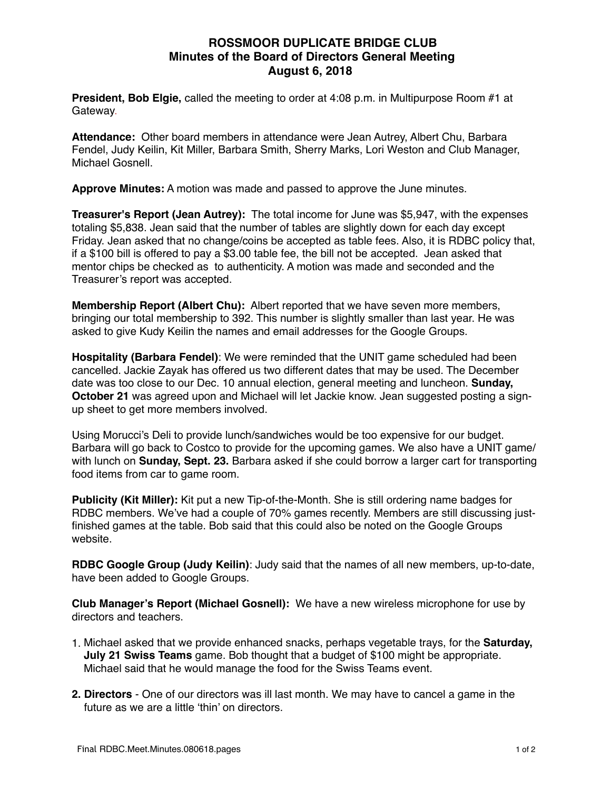# **ROSSMOOR DUPLICATE BRIDGE CLUB Minutes of the Board of Directors General Meeting August 6, 2018**

**President, Bob Elgie,** called the meeting to order at 4:08 p.m. in Multipurpose Room #1 at Gateway.

**Attendance:** Other board members in attendance were Jean Autrey, Albert Chu, Barbara Fendel, Judy Keilin, Kit Miller, Barbara Smith, Sherry Marks, Lori Weston and Club Manager, Michael Gosnell.

**Approve Minutes:** A motion was made and passed to approve the June minutes.

**Treasurer's Report (Jean Autrey):** The total income for June was \$5,947, with the expenses totaling \$5,838. Jean said that the number of tables are slightly down for each day except Friday. Jean asked that no change/coins be accepted as table fees. Also, it is RDBC policy that, if a \$100 bill is offered to pay a \$3.00 table fee, the bill not be accepted. Jean asked that mentor chips be checked as to authenticity. A motion was made and seconded and the Treasurer's report was accepted.

**Membership Report (Albert Chu):** Albert reported that we have seven more members, bringing our total membership to 392. This number is slightly smaller than last year. He was asked to give Kudy Keilin the names and email addresses for the Google Groups.

**Hospitality (Barbara Fendel)**: We were reminded that the UNIT game scheduled had been cancelled. Jackie Zayak has offered us two different dates that may be used. The December date was too close to our Dec. 10 annual election, general meeting and luncheon. **Sunday, October 21** was agreed upon and Michael will let Jackie know. Jean suggested posting a signup sheet to get more members involved.

Using Morucci's Deli to provide lunch/sandwiches would be too expensive for our budget. Barbara will go back to Costco to provide for the upcoming games. We also have a UNIT game/ with lunch on **Sunday, Sept. 23.** Barbara asked if she could borrow a larger cart for transporting food items from car to game room.

**Publicity (Kit Miller):** Kit put a new Tip-of-the-Month. She is still ordering name badges for RDBC members. We've had a couple of 70% games recently. Members are still discussing justfinished games at the table. Bob said that this could also be noted on the Google Groups website.

**RDBC Google Group (Judy Keilin)**: Judy said that the names of all new members, up-to-date, have been added to Google Groups.

**Club Manager's Report (Michael Gosnell):** We have a new wireless microphone for use by directors and teachers.

- 1. Michael asked that we provide enhanced snacks, perhaps vegetable trays, for the **Saturday, July 21 Swiss Teams** game. Bob thought that a budget of \$100 might be appropriate. Michael said that he would manage the food for the Swiss Teams event.
- **2. Directors** One of our directors was ill last month. We may have to cancel a game in the future as we are a little 'thin' on directors.